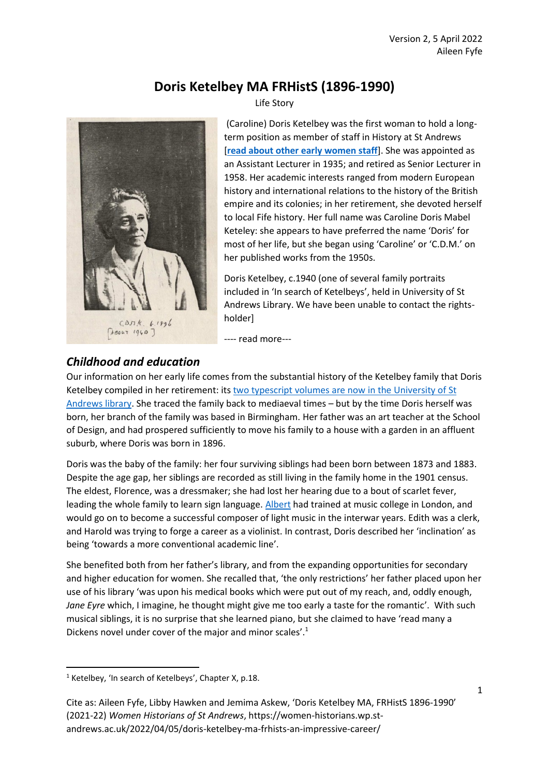# **Doris Ketelbey MA FRHistS (1896-1990)**



Life Story

(Caroline) Doris Ketelbey was the first woman to hold a longterm position as member of staff in History at St Andrews [**[read about other early women staff](https://women-historians.wp.st-andrews.ac.uk/2021/04/16/early-women-lecturers/)**]. She was appointed as an Assistant Lecturer in 1935; and retired as Senior Lecturer in 1958. Her academic interests ranged from modern European history and international relations to the history of the British empire and its colonies; in her retirement, she devoted herself to local Fife history. Her full name was Caroline Doris Mabel Keteley: she appears to have preferred the name 'Doris' for most of her life, but she began using 'Caroline' or 'C.D.M.' on her published works from the 1950s.

Doris Ketelbey, c.1940 (one of several family portraits included in 'In search of Ketelbeys', held in University of St Andrews Library. We have been unable to contact the rightsholder]

---- read more---

## *Childhood and education*

Our information on her early life comes from the substantial history of the Ketelbey family that Doris Ketelbey compiled in her retirement: it[s two typescript volumes are now in the University](https://encore.st-andrews.ac.uk/iii/encore/record/C__Rx2759814) of St [Andrews library.](https://encore.st-andrews.ac.uk/iii/encore/record/C__Rx2759814) She traced the family back to mediaeval times – but by the time Doris herself was born, her branch of the family was based in Birmingham. Her father was an art teacher at the School of Design, and had prospered sufficiently to move his family to a house with a garden in an affluent suburb, where Doris was born in 1896.

Doris was the baby of the family: her four surviving siblings had been born between 1873 and 1883. Despite the age gap, her siblings are recorded as still living in the family home in the 1901 census. The eldest, Florence, was a dressmaker; she had lost her hearing due to a bout of scarlet fever, leading the whole family to learn sign language[. Albert](https://en.wikipedia.org/wiki/Albert_Ket%C3%A8lbey) had trained at music college in London, and would go on to become a successful composer of light music in the interwar years. Edith was a clerk, and Harold was trying to forge a career as a violinist. In contrast, Doris described her 'inclination' as being 'towards a more conventional academic line'.

She benefited both from her father's library, and from the expanding opportunities for secondary and higher education for women. She recalled that, 'the only restrictions' her father placed upon her use of his library 'was upon his medical books which were put out of my reach, and, oddly enough, *Jane Eyre* which, I imagine, he thought might give me too early a taste for the romantic'. With such musical siblings, it is no surprise that she learned piano, but she claimed to have 'read many a Dickens novel under cover of the major and minor scales'.<sup>1</sup>

 $1$  Ketelbey, 'In search of Ketelbeys', Chapter X, p.18.

Cite as: Aileen Fyfe, Libby Hawken and Jemima Askew, 'Doris Ketelbey MA, FRHistS 1896-1990' (2021-22) *Women Historians of St Andrews*, https://women-historians.wp.standrews.ac.uk/2022/04/05/doris-ketelbey-ma-frhists-an-impressive-career/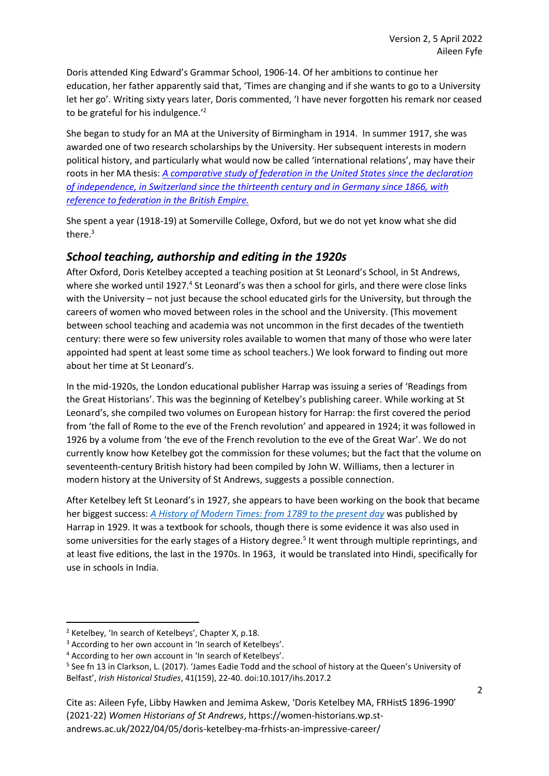Doris attended King Edward's Grammar School, 1906-14. Of her ambitions to continue her education, her father apparently said that, 'Times are changing and if she wants to go to a University let her go'. Writing sixty years later, Doris commented, 'I have never forgotten his remark nor ceased to be grateful for his indulgence.<sup>'2</sup>

She began to study for an MA at the University of Birmingham in 1914. In summer 1917, she was awarded one of two research scholarships by the University. Her subsequent interests in modern political history, and particularly what would now be called 'international relations', may have their roots in her MA thesis: *[A comparative study of federation in the United States since the declaration](http://etheses.bham.ac.uk/id/eprint/6133/)  of independence, in [Switzerland since the thirteenth century and in Germany since 1866, with](http://etheses.bham.ac.uk/id/eprint/6133/)  [reference to federation in the British Empire.](http://etheses.bham.ac.uk/id/eprint/6133/)*

She spent a year (1918-19) at Somerville College, Oxford, but we do not yet know what she did there.<sup>3</sup>

## *School teaching, authorship and editing in the 1920s*

After Oxford, Doris Ketelbey accepted a teaching position at St Leonard's School, in St Andrews, where she worked until 1927.<sup>4</sup> St Leonard's was then a school for girls, and there were close links with the University – not just because the school educated girls for the University, but through the careers of women who moved between roles in the school and the University. (This movement between school teaching and academia was not uncommon in the first decades of the twentieth century: there were so few university roles available to women that many of those who were later appointed had spent at least some time as school teachers.) We look forward to finding out more about her time at St Leonard's.

In the mid-1920s, the London educational publisher Harrap was issuing a series of 'Readings from the Great Historians'. This was the beginning of Ketelbey's publishing career. While working at St Leonard's, she compiled two volumes on European history for Harrap: the first covered the period from 'the fall of Rome to the eve of the French revolution' and appeared in 1924; it was followed in 1926 by a volume from 'the eve of the French revolution to the eve of the Great War'. We do not currently know how Ketelbey got the commission for these volumes; but the fact that the volume on seventeenth-century British history had been compiled by John W. Williams, then a lecturer in modern history at the University of St Andrews, suggests a possible connection.

After Ketelbey left St Leonard's in 1927, she appears to have been working on the book that became her biggest success: *[A History of Modern Times: from 1789 to the present day](https://archive.org/details/in.ernet.dli.2015.12073/page/n3/mode/2up?view=theater)* was published by Harrap in 1929. It was a textbook for schools, though there is some evidence it was also used in some universities for the early stages of a History degree.<sup>5</sup> It went through multiple reprintings, and at least five editions, the last in the 1970s. In 1963, it would be translated into Hindi, specifically for use in schools in India.

<sup>2</sup> Ketelbey, 'In search of Ketelbeys', Chapter X, p.18.

<sup>&</sup>lt;sup>3</sup> According to her own account in 'In search of Ketelbeys'.

<sup>4</sup> According to her own account in 'In search of Ketelbeys'.

<sup>&</sup>lt;sup>5</sup> See fn 13 in Clarkson, L. (2017). 'James Eadie Todd and the school of history at the Queen's University of Belfast', *Irish Historical Studies*, 41(159), 22-40. doi:10.1017/ihs.2017.2

Cite as: Aileen Fyfe, Libby Hawken and Jemima Askew, 'Doris Ketelbey MA, FRHistS 1896-1990' (2021-22) *Women Historians of St Andrews*, https://women-historians.wp.standrews.ac.uk/2022/04/05/doris-ketelbey-ma-frhists-an-impressive-career/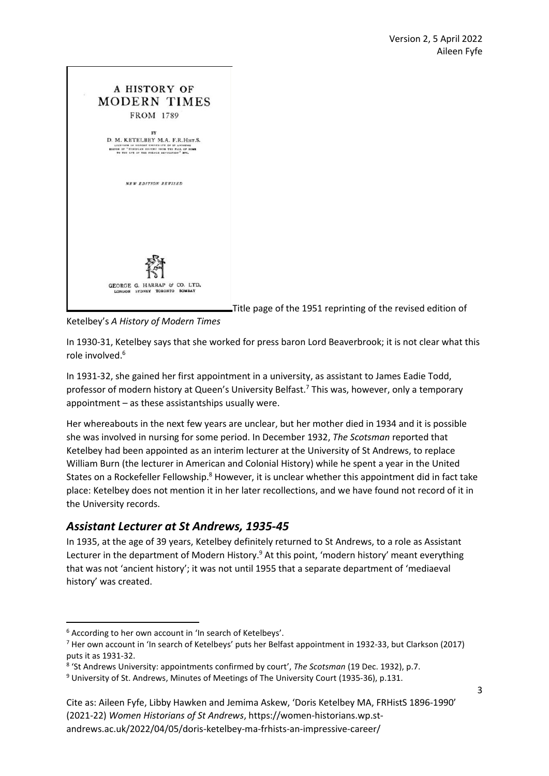

Title page of the 1951 reprinting of the revised edition of

Ketelbey's *A History of Modern Times*

In 1930-31, Ketelbey says that she worked for press baron Lord Beaverbrook; it is not clear what this role involved. 6

In 1931-32, she gained her first appointment in a university, as assistant to James Eadie Todd, professor of modern history at Queen's University Belfast.<sup>7</sup> This was, however, only a temporary appointment – as these assistantships usually were.

Her whereabouts in the next few years are unclear, but her mother died in 1934 and it is possible she was involved in nursing for some period. In December 1932, *The Scotsman* reported that Ketelbey had been appointed as an interim lecturer at the University of St Andrews, to replace William Burn (the lecturer in American and Colonial History) while he spent a year in the United States on a Rockefeller Fellowship.<sup>8</sup> However, it is unclear whether this appointment did in fact take place: Ketelbey does not mention it in her later recollections, and we have found not record of it in the University records.

## *Assistant Lecturer at St Andrews, 1935-45*

In 1935, at the age of 39 years, Ketelbey definitely returned to St Andrews, to a role as Assistant Lecturer in the department of Modern History.<sup>9</sup> At this point, 'modern history' meant everything that was not 'ancient history'; it was not until 1955 that a separate department of 'mediaeval history' was created.

<sup>6</sup> According to her own account in 'In search of Ketelbeys'.

<sup>7</sup> Her own account in 'In search of Ketelbeys' puts her Belfast appointment in 1932-33, but Clarkson (2017) puts it as 1931-32.

<sup>8</sup> 'St Andrews University: appointments confirmed by court', *The Scotsman* (19 Dec. 1932), p.7.

<sup>9</sup> University of St. Andrews, Minutes of Meetings of The University Court (1935-36), p.131.

Cite as: Aileen Fyfe, Libby Hawken and Jemima Askew, 'Doris Ketelbey MA, FRHistS 1896-1990' (2021-22) *Women Historians of St Andrews*, https://women-historians.wp.standrews.ac.uk/2022/04/05/doris-ketelbey-ma-frhists-an-impressive-career/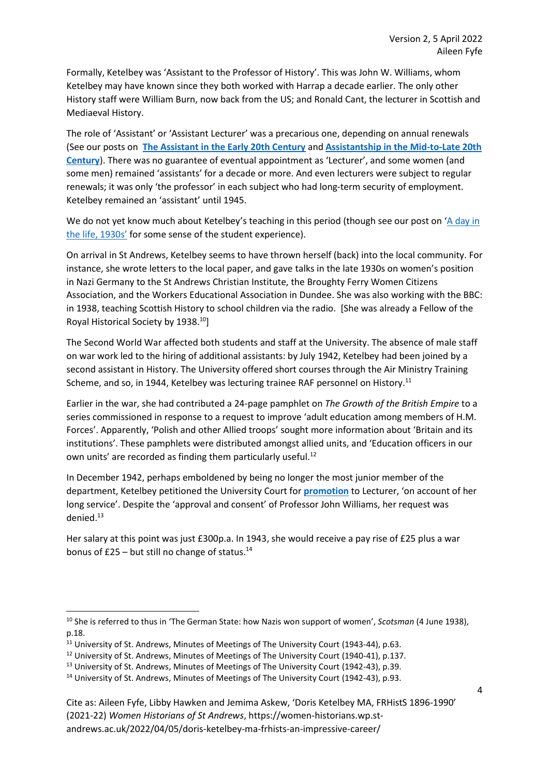Formally, Ketelbey was 'Assistant to the Professor of History'. This was John W. Williams, whom Ketelbey may have known since they both worked with Harrap a decade earlier. The only other History staff were William Burn, now back from the US; and Ronald Cant, the lecturer in Scottish and Mediaeval History.

The role of 'Assistant' or 'Assistant Lecturer' was a precarious one, depending on annual renewals (See our posts on **[The Assistant in the Early 20th Century](https://women-historians.wp.st-andrews.ac.uk/2021/07/24/the-assistant-in-the-early-20th-century-miss-janet-isabella-low-m-a/)** and **[Assistantship in the Mid-to-Late 20th](https://women-historians.wp.st-andrews.ac.uk/2021/07/24/assistantship-in-the-mid-to-late-20th-century/)  [Century](https://women-historians.wp.st-andrews.ac.uk/2021/07/24/assistantship-in-the-mid-to-late-20th-century/)**). There was no guarantee of eventual appointment as 'Lecturer', and some women (and some men) remained 'assistants' for a decade or more. And even lecturers were subject to regular renewals; it was only 'the professor' in each subject who had long-term security of employment. Ketelbey remained an 'assistant' until 1945.

We do not yet know much about Ketelbey's teaching in this period (though see our post on 'A day in [the life, 1930s](https://women-historians.wp.st-andrews.ac.uk/2021/07/24/a-woman-historians-day-in-the-life-1930s/)' for some sense of the student experience).

On arrival in St Andrews, Ketelbey seems to have thrown herself (back) into the local community. For instance, she wrote letters to the local paper, and gave talks in the late 1930s on women's position in Nazi Germany to the St Andrews Christian Institute, the Broughty Ferry Women Citizens Association, and the Workers Educational Association in Dundee. She was also working with the BBC: in 1938, teaching Scottish History to school children via the radio. [She was already a Fellow of the Royal Historical Society by 1938.<sup>10</sup>]

The Second World War affected both students and staff at the University. The absence of male staff on war work led to the hiring of additional assistants: by July 1942, Ketelbey had been joined by a second assistant in History. The University offered short courses through the Air Ministry Training Scheme, and so, in 1944, Ketelbey was lecturing trainee RAF personnel on History.<sup>11</sup>

Earlier in the war, she had contributed a 24-page pamphlet on *The Growth of the British Empire* to a series commissioned in response to a request to improve 'adult education among members of H.M. Forces'. Apparently, 'Polish and other Allied troops' sought more information about 'Britain and its institutions'. These pamphlets were distributed amongst allied units, and 'Education officers in our own units' are recorded as finding them particularly useful.<sup>12</sup>

In December 1942, perhaps emboldened by being no longer the most junior member of the department, Ketelbey petitioned the University Court for **[promotion](https://women-historians.wp.st-andrews.ac.uk/2021/07/24/assistantship-in-the-mid-to-late-20th-century/)** to Lecturer, 'on account of her long service'. Despite the 'approval and consent' of Professor John Williams, her request was denied. 13

Her salary at this point was just £300p.a. In 1943, she would receive a pay rise of £25 plus a war bonus of  $£25 - but$  still no change of status.<sup>14</sup>

Cite as: Aileen Fyfe, Libby Hawken and Jemima Askew, 'Doris Ketelbey MA, FRHistS 1896-1990' (2021-22) *Women Historians of St Andrews*, https://women-historians.wp.standrews.ac.uk/2022/04/05/doris-ketelbey-ma-frhists-an-impressive-career/

<sup>10</sup> She is referred to thus in 'The German State: how Nazis won support of women', *Scotsman* (4 June 1938), p.18.

<sup>&</sup>lt;sup>11</sup> University of St. Andrews, Minutes of Meetings of The University Court (1943-44), p.63.

<sup>&</sup>lt;sup>12</sup> University of St. Andrews, Minutes of Meetings of The University Court (1940-41), p.137.

<sup>&</sup>lt;sup>13</sup> University of St. Andrews, Minutes of Meetings of The University Court (1942-43), p.39.

<sup>&</sup>lt;sup>14</sup> University of St. Andrews, Minutes of Meetings of The University Court (1942-43), p.93.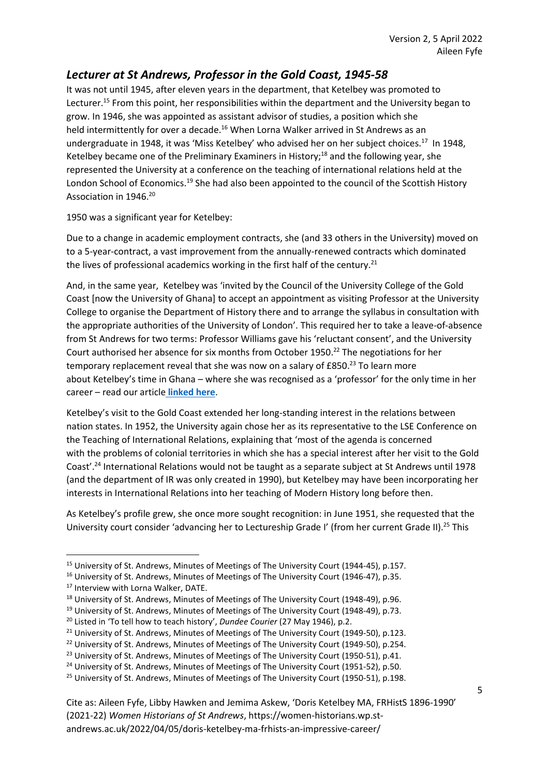## *Lecturer at St Andrews, Professor in the Gold Coast, 1945-58*

It was not until 1945, after eleven years in the department, that Ketelbey was promoted to Lecturer.<sup>15</sup> From this point, her responsibilities within the department and the University began to grow. In 1946, she was appointed as assistant advisor of studies, a position which she held intermittently for over a decade.<sup>16</sup> When Lorna Walker arrived in St Andrews as an undergraduate in 1948, it was 'Miss Ketelbey' who advised her on her subject choices.<sup>17</sup> In 1948, Ketelbey became one of the Preliminary Examiners in History; <sup>18</sup> and the following year, she represented the University at a conference on the teaching of international relations held at the London School of Economics.<sup>19</sup> She had also been appointed to the council of the Scottish History Association in 1946.<sup>20</sup>

1950 was a significant year for Ketelbey:

Due to a change in academic employment contracts, she (and 33 others in the University) moved on to a 5-year-contract, a vast improvement from the annually-renewed contracts which dominated the lives of professional academics working in the first half of the century.<sup>21</sup>

And, in the same year, Ketelbey was 'invited by the Council of the University College of the Gold Coast [now the University of Ghana] to accept an appointment as visiting Professor at the University College to organise the Department of History there and to arrange the syllabus in consultation with the appropriate authorities of the University of London'. This required her to take a leave-of-absence from St Andrews for two terms: Professor Williams gave his 'reluctant consent', and the University Court authorised her absence for six months from October 1950.<sup>22</sup> The negotiations for her temporary replacement reveal that she was now on a salary of £850.<sup>23</sup> To learn more about Ketelbey's time in Ghana – where she was recognised as a 'professor' for the only time in her career – read our article **[linked here](https://women-historians.wp.st-andrews.ac.uk/2021/07/24/c-d-m-ketelbey-in-the-gold-coast/)**.

Ketelbey's visit to the Gold Coast extended her long-standing interest in the relations between nation states. In 1952, the University again chose her as its representative to the LSE Conference on the Teaching of International Relations, explaining that 'most of the agenda is concerned with the problems of colonial territories in which she has a special interest after her visit to the Gold Coast'.<sup>24</sup> International Relations would not be taught as a separate subject at St Andrews until 1978 (and the department of IR was only created in 1990), but Ketelbey may have been incorporating her interests in International Relations into her teaching of Modern History long before then.

As Ketelbey's profile grew, she once more sought recognition: in June 1951, she requested that the University court consider 'advancing her to Lectureship Grade I' (from her current Grade II).<sup>25</sup> This

<sup>&</sup>lt;sup>15</sup> University of St. Andrews, Minutes of Meetings of The University Court (1944-45), p.157.

<sup>&</sup>lt;sup>16</sup> University of St. Andrews, Minutes of Meetings of The University Court (1946-47), p.35.

<sup>&</sup>lt;sup>17</sup> Interview with Lorna Walker, DATE.

<sup>&</sup>lt;sup>18</sup> University of St. Andrews, Minutes of Meetings of The University Court (1948-49), p.96.

<sup>&</sup>lt;sup>19</sup> University of St. Andrews, Minutes of Meetings of The University Court (1948-49), p.73.

<sup>20</sup> Listed in 'To tell how to teach history', *Dundee Courier* (27 May 1946), p.2.

<sup>&</sup>lt;sup>21</sup> University of St. Andrews, Minutes of Meetings of The University Court (1949-50), p.123.

<sup>&</sup>lt;sup>22</sup> University of St. Andrews, Minutes of Meetings of The University Court (1949-50), p.254.

<sup>&</sup>lt;sup>23</sup> University of St. Andrews, Minutes of Meetings of The University Court (1950-51), p.41.

<sup>&</sup>lt;sup>24</sup> University of St. Andrews, Minutes of Meetings of The University Court (1951-52), p.50.

<sup>&</sup>lt;sup>25</sup> University of St. Andrews, Minutes of Meetings of The University Court (1950-51), p.198.

Cite as: Aileen Fyfe, Libby Hawken and Jemima Askew, 'Doris Ketelbey MA, FRHistS 1896-1990' (2021-22) *Women Historians of St Andrews*, https://women-historians.wp.standrews.ac.uk/2022/04/05/doris-ketelbey-ma-frhists-an-impressive-career/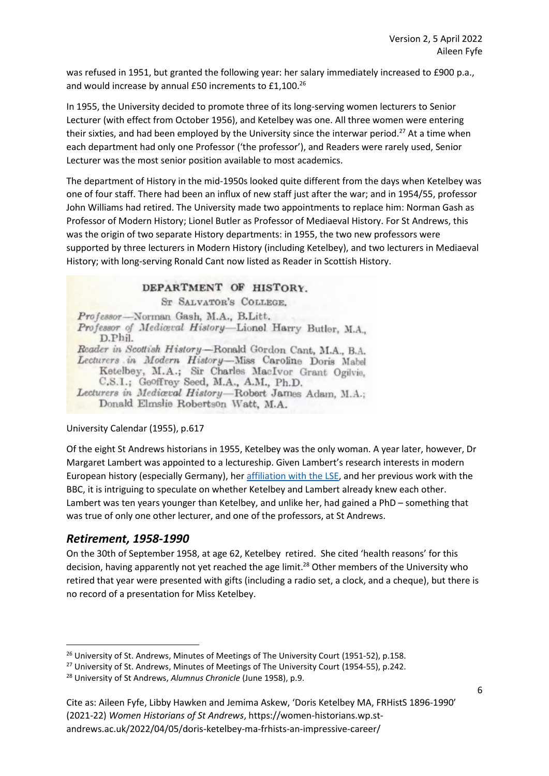was refused in 1951, but granted the following year: her salary immediately increased to £900 p.a., and would increase by annual £50 increments to £1,100.<sup>26</sup>

In 1955, the University decided to promote three of its long-serving women lecturers to Senior Lecturer (with effect from October 1956), and Ketelbey was one. All three women were entering their sixties, and had been employed by the University since the interwar period.<sup>27</sup> At a time when each department had only one Professor ('the professor'), and Readers were rarely used, Senior Lecturer was the most senior position available to most academics.

The department of History in the mid-1950s looked quite different from the days when Ketelbey was one of four staff. There had been an influx of new staff just after the war; and in 1954/55, professor John Williams had retired. The University made two appointments to replace him: Norman Gash as Professor of Modern History; Lionel Butler as Professor of Mediaeval History. For St Andrews, this was the origin of two separate History departments: in 1955, the two new professors were supported by three lecturers in Modern History (including Ketelbey), and two lecturers in Mediaeval History; with long-serving Ronald Cant now listed as Reader in Scottish History.

#### DEPARTMENT OF HISTORY.

ST SALVATOR'S COLLEGE.

Professor-Norman Gash, M.A., B.Litt. Professor of Mediceval History-Lionel Harry Butler, M.A., D.Phil. Reader in Scottish History-Ronald Gordon Cant, M.A., B.A. Lecturers in Modern History-Miss Caroline Doris Mabel Ketelbey, M.A.; Sir Charles MacIvor Grant Ogilvie. C.S.I.; Geoffrey Seed, M.A., A.M., Ph.D. Lecturers in Mediaval History-Robert James Adam, M.A.; Donald Elmslie Robertson Watt, M.A.

#### University Calendar (1955), p.617

Of the eight St Andrews historians in 1955, Ketelbey was the only woman. A year later, however, Dr Margaret Lambert was appointed to a lectureship. Given Lambert's research interests in modern European history (especially Germany), he[r affiliation with the LSE,](https://blogs.lse.ac.uk/lsehistory/2018/03/09/margaret-barbara-lambert-1906-95-a-thorough-and-energetic-investigator/) and her previous work with the BBC, it is intriguing to speculate on whether Ketelbey and Lambert already knew each other. Lambert was ten years younger than Ketelbey, and unlike her, had gained a PhD – something that was true of only one other lecturer, and one of the professors, at St Andrews.

## *Retirement, 1958-1990*

On the 30th of September 1958, at age 62, Ketelbey retired. She cited 'health reasons' for this decision, having apparently not yet reached the age limit. <sup>28</sup> Other members of the University who retired that year were presented with gifts (including a radio set, a clock, and a cheque), but there is no record of a presentation for Miss Ketelbey.

<sup>&</sup>lt;sup>26</sup> University of St. Andrews, Minutes of Meetings of The University Court (1951-52), p.158.

<sup>&</sup>lt;sup>27</sup> University of St. Andrews, Minutes of Meetings of The University Court (1954-55), p.242.

<sup>28</sup> University of St Andrews, *Alumnus Chronicle* (June 1958), p.9.

Cite as: Aileen Fyfe, Libby Hawken and Jemima Askew, 'Doris Ketelbey MA, FRHistS 1896-1990' (2021-22) *Women Historians of St Andrews*, https://women-historians.wp.standrews.ac.uk/2022/04/05/doris-ketelbey-ma-frhists-an-impressive-career/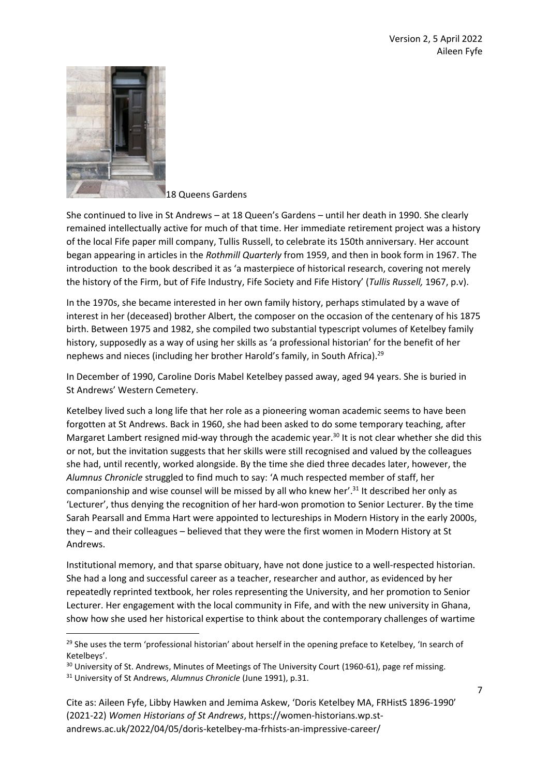

18 Queens Gardens

She continued to live in St Andrews – at 18 Queen's Gardens – until her death in 1990. She clearly remained intellectually active for much of that time. Her immediate retirement project was a history of the local Fife paper mill company, Tullis Russell, to celebrate its 150th anniversary. Her account began appearing in articles in the *Rothmill Quarterly* from 1959, and then in book form in 1967. The introduction to the book described it as 'a masterpiece of historical research, covering not merely the history of the Firm, but of Fife Industry, Fife Society and Fife History' (*Tullis Russell,* 1967, p.v).

In the 1970s, she became interested in her own family history, perhaps stimulated by a wave of interest in her (deceased) brother Albert, the composer on the occasion of the centenary of his 1875 birth. Between 1975 and 1982, she compiled two substantial typescript volumes of Ketelbey family history, supposedly as a way of using her skills as 'a professional historian' for the benefit of her nephews and nieces (including her brother Harold's family, in South Africa).<sup>29</sup>

In December of 1990, Caroline Doris Mabel Ketelbey passed away, aged 94 years. She is buried in St Andrews' Western Cemetery.

Ketelbey lived such a long life that her role as a pioneering woman academic seems to have been forgotten at St Andrews. Back in 1960, she had been asked to do some temporary teaching, after Margaret Lambert resigned mid-way through the academic year.<sup>30</sup> It is not clear whether she did this or not, but the invitation suggests that her skills were still recognised and valued by the colleagues she had, until recently, worked alongside. By the time she died three decades later, however, the *Alumnus Chronicle* struggled to find much to say: 'A much respected member of staff, her companionship and wise counsel will be missed by all who knew her'.<sup>31</sup> It described her only as 'Lecturer', thus denying the recognition of her hard-won promotion to Senior Lecturer. By the time Sarah Pearsall and Emma Hart were appointed to lectureships in Modern History in the early 2000s, they – and their colleagues – believed that they were the first women in Modern History at St Andrews.

Institutional memory, and that sparse obituary, have not done justice to a well-respected historian. She had a long and successful career as a teacher, researcher and author, as evidenced by her repeatedly reprinted textbook, her roles representing the University, and her promotion to Senior Lecturer. Her engagement with the local community in Fife, and with the new university in Ghana, show how she used her historical expertise to think about the contemporary challenges of wartime

<sup>&</sup>lt;sup>29</sup> She uses the term 'professional historian' about herself in the opening preface to Ketelbey, 'In search of Ketelbeys'.

<sup>&</sup>lt;sup>30</sup> University of St. Andrews, Minutes of Meetings of The University Court (1960-61), page ref missing.

<sup>31</sup> University of St Andrews, *Alumnus Chronicle* (June 1991), p.31.

Cite as: Aileen Fyfe, Libby Hawken and Jemima Askew, 'Doris Ketelbey MA, FRHistS 1896-1990' (2021-22) *Women Historians of St Andrews*, https://women-historians.wp.standrews.ac.uk/2022/04/05/doris-ketelbey-ma-frhists-an-impressive-career/